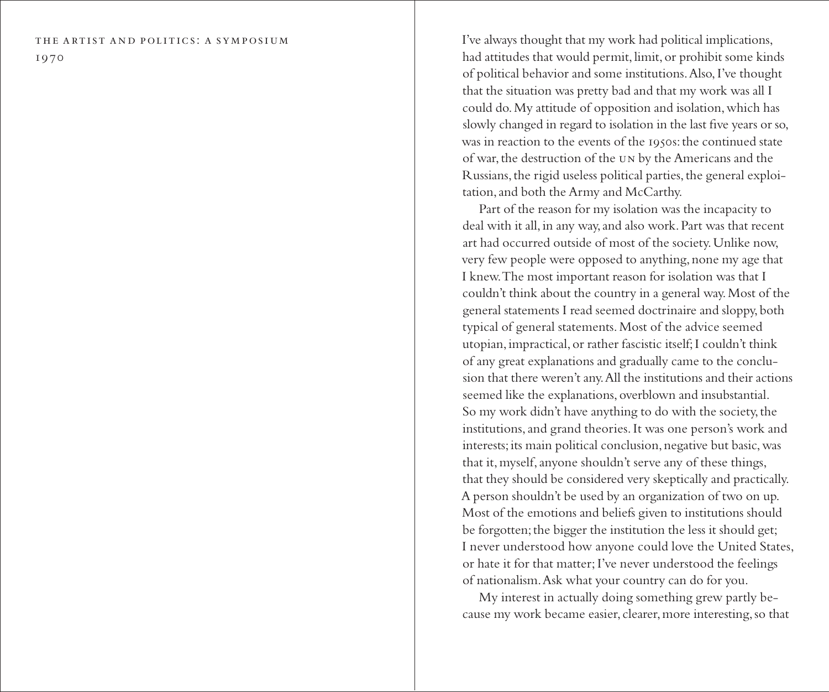## THE ARTIST AND POLITICS: A SYMPOSIUM 1970

I've always thought that my work had political implications, had attitudes that would permit, limit, or prohibit some kinds of political behavior and some institutions. Also, I've thought that the situation was pretty bad and that my work was all I could do. My attitude of opposition and isolation, which has slowly changed in regard to isolation in the last five years or so, was in reaction to the events of the 1950s: the continued state of war, the destruction of the UN by the Americans and the Russians, the rigid useless political parties, the general exploitation, and both the Army and McCarthy.

Part of the reason for my isolation was the incapacity to deal with it all, in any way, and also work. Part was that recent art had occurred outside of most of the society. Unlike now, very few people were opposed to anything, none my age that I knew. The most important reason for isolation was that I couldn't think about the country in a general way. Most of the general statements I read seemed doctrinaire and sloppy, both typical of general statements. Most of the advice seemed utopian, impractical, or rather fascistic itself; I couldn't think of any great explanations and gradually came to the conclusion that there weren't any. All the institutions and their actions seemed like the explanations, overblown and insubstantial. So my work didn't have anything to do with the society, the institutions, and grand theories. It was one person's work and interests; its main political conclusion, negative but basic, was that it, myself, anyone shouldn't serve any of these things, that they should be considered very skeptically and practically. A person shouldn't be used by an organization of two on up. Most of the emotions and beliefs given to institutions should be forgotten; the bigger the institution the less it should get; I never understood how anyone could love the United States, or hate it for that matter; I've never understood the feelings of nationalism. Ask what your country can do for you.

My interest in actually doing something grew partly because my work became easier, clearer, more interesting, so that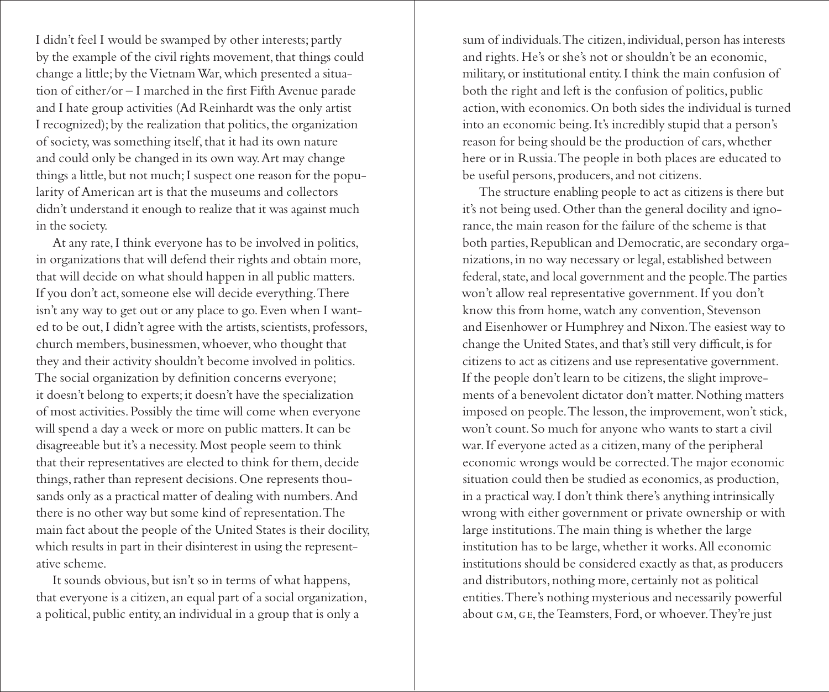I didn't feel I would be swamped by other interests; partly by the example of the civil rights movement, that things could change a little; by the Vietnam War, which presented a situation of either/or – I marched in the first Fifth Avenue parade and I hate group activities (Ad Reinhardt was the only artist I recognized); by the realization that politics, the organization of society, was something itself, that it had its own nature and could only be changed in its own way. Art may change things a little, but not much; I suspect one reason for the popularity of American art is that the museums and collectors didn't understand it enough to realize that it was against much in the society.

At any rate, I think everyone has to be involved in politics, in organizations that will defend their rights and obtain more, that will decide on what should happen in all public matters. If you don't act, someone else will decide everything. There isn't any way to get out or any place to go. Even when I wanted to be out, I didn't agree with the artists, scientists, professors, church members, businessmen, whoever, who thought that they and their activity shouldn't become involved in politics. The social organization by definition concerns everyone; it doesn't belong to experts; it doesn't have the specialization of most activities. Possibly the time will come when everyone will spend a day a week or more on public matters. It can be disagreeable but it's a necessity. Most people seem to think that their representatives are elected to think for them, decide things, rather than represent decisions. One represents thousands only as a practical matter of dealing with numbers. And there is no other way but some kind of representation. The main fact about the people of the United States is their docility, which results in part in their disinterest in using the representative scheme.

It sounds obvious, but isn't so in terms of what happens, that everyone is a citizen, an equal part of a social organization, a political, public entity, an individual in a group that is only a

sum of individuals. The citizen, individual, person has interests and rights. He's or she's not or shouldn't be an economic, military, or institutional entity. I think the main confusion of both the right and left is the confusion of politics, public action, with economics. On both sides the individual is turned into an economic being. It's incredibly stupid that a person's reason for being should be the production of cars, whether here or in Russia. The people in both places are educated to be useful persons, producers, and not citizens.

The structure enabling people to act as citizens is there but it's not being used. Other than the general docility and ignorance, the main reason for the failure of the scheme is that both parties, Republican and Democratic, are secondary organizations, in no way necessary or legal, established between federal, state, and local government and the people. The parties won't allow real representative government. If you don't know this from home, watch any convention, Stevenson and Eisenhower or Humphrey and Nixon. The easiest way to change the United States, and that's still very difficult, is for citizens to act as citizens and use representative government. If the people don't learn to be citizens, the slight improvements of a benevolent dictator don't matter. Nothing matters imposed on people. The lesson, the improvement, won't stick, won't count. So much for anyone who wants to start a civil war. If everyone acted as a citizen, many of the peripheral economic wrongs would be corrected. The major economic situation could then be studied as economics, as production, in a practical way. I don't think there's anything intrinsically wrong with either government or private ownership or with large institutions. The main thing is whether the large institution has to be large, whether it works. All economic institutions should be considered exactly as that, as producers and distributors, nothing more, certainly not as political entities. There's nothing mysterious and necessarily powerful about GM, GE, the Teamsters, Ford, or whoever. They're just